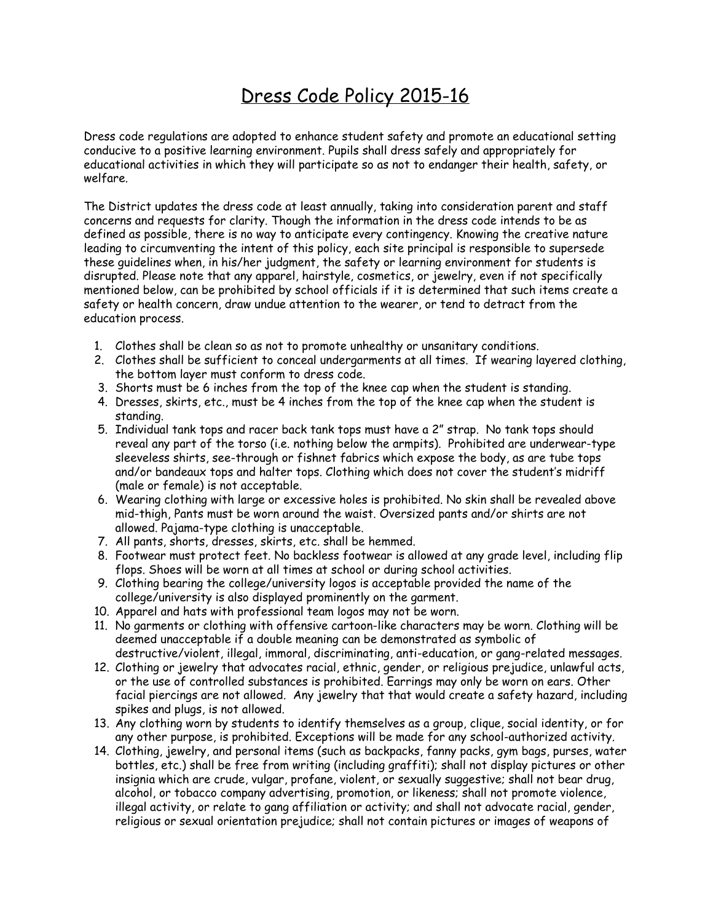## Dress Code Policy 2015-16

Dress code regulations are adopted to enhance student safety and promote an educational setting conducive to a positive learning environment. Pupils shall dress safely and appropriately for educational activities in which they will participate so as not to endanger their health, safety, or welfare.

The District updates the dress code at least annually, taking into consideration parent and staff concerns and requests for clarity. Though the information in the dress code intends to be as defined as possible, there is no way to anticipate every contingency. Knowing the creative nature leading to circumventing the intent of this policy, each site principal is responsible to supersede these guidelines when, in his/her judgment, the safety or learning environment for students is disrupted. Please note that any apparel, hairstyle, cosmetics, or jewelry, even if not specifically mentioned below, can be prohibited by school officials if it is determined that such items create a safety or health concern, draw undue attention to the wearer, or tend to detract from the education process.

- 1. Clothes shall be clean so as not to promote unhealthy or unsanitary conditions.
- 2. Clothes shall be sufficient to conceal undergarments at all times. If wearing layered clothing, the bottom layer must conform to dress code.
- 3. Shorts must be 6 inches from the top of the knee cap when the student is standing.
- 4. Dresses, skirts, etc., must be 4 inches from the top of the knee cap when the student is standing.
- 5. Individual tank tops and racer back tank tops must have a 2" strap. No tank tops should reveal any part of the torso (i.e. nothing below the armpits). Prohibited are underwear-type sleeveless shirts, see-through or fishnet fabrics which expose the body, as are tube tops and/or bandeaux tops and halter tops. Clothing which does not cover the student's midriff (male or female) is not acceptable.
- 6. Wearing clothing with large or excessive holes is prohibited. No skin shall be revealed above mid-thigh, Pants must be worn around the waist. Oversized pants and/or shirts are not allowed. Pajama-type clothing is unacceptable.
- 7. All pants, shorts, dresses, skirts, etc. shall be hemmed.
- 8. Footwear must protect feet. No backless footwear is allowed at any grade level, including flip flops. Shoes will be worn at all times at school or during school activities.
- 9. Clothing bearing the college/university logos is acceptable provided the name of the college/university is also displayed prominently on the garment.
- 10. Apparel and hats with professional team logos may not be worn.
- 11. No garments or clothing with offensive cartoon-like characters may be worn. Clothing will be deemed unacceptable if a double meaning can be demonstrated as symbolic of destructive/violent, illegal, immoral, discriminating, anti-education, or gang-related messages.
- 12. Clothing or jewelry that advocates racial, ethnic, gender, or religious prejudice, unlawful acts, or the use of controlled substances is prohibited. Earrings may only be worn on ears. Other facial piercings are not allowed. Any jewelry that that would create a safety hazard, including spikes and plugs, is not allowed.
- 13. Any clothing worn by students to identify themselves as a group, clique, social identity, or for any other purpose, is prohibited. Exceptions will be made for any school-authorized activity.
- 14. Clothing, jewelry, and personal items (such as backpacks, fanny packs, gym bags, purses, water bottles, etc.) shall be free from writing (including graffiti); shall not display pictures or other insignia which are crude, vulgar, profane, violent, or sexually suggestive; shall not bear drug, alcohol, or tobacco company advertising, promotion, or likeness; shall not promote violence, illegal activity, or relate to gang affiliation or activity; and shall not advocate racial, gender, religious or sexual orientation prejudice; shall not contain pictures or images of weapons of